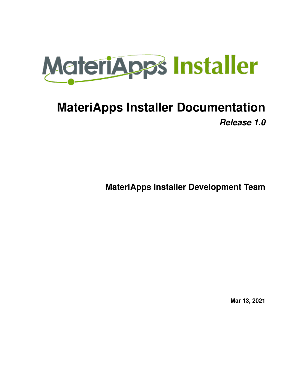

# **MateriApps Installer Documentation** *Release 1.0*

**MateriApps Installer Development Team**

**Mar 13, 2021**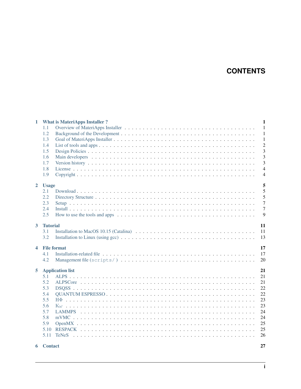# **CONTENTS**

| 1                       | <b>What is MateriApps Installer?</b>                                                                                                  | $\mathbf{1}$   |
|-------------------------|---------------------------------------------------------------------------------------------------------------------------------------|----------------|
|                         | 1.1                                                                                                                                   | $\mathbf{1}$   |
|                         | 1.2                                                                                                                                   | $\mathbf{1}$   |
|                         | 1.3                                                                                                                                   | $\mathbf{1}$   |
|                         | 1.4                                                                                                                                   | $\overline{2}$ |
|                         | 1.5                                                                                                                                   | $\overline{3}$ |
|                         | 1.6                                                                                                                                   | 3              |
|                         | 1.7                                                                                                                                   | 3              |
|                         | 1.8                                                                                                                                   | $\overline{4}$ |
|                         | 1.9                                                                                                                                   | $\overline{4}$ |
| $\overline{2}$          | <b>Usage</b>                                                                                                                          | 5              |
|                         | 2.1                                                                                                                                   | 5              |
|                         | 2.2                                                                                                                                   | 5              |
|                         | 2.3                                                                                                                                   | $\overline{7}$ |
|                         | 2.4                                                                                                                                   | $\overline{7}$ |
|                         | 2.5                                                                                                                                   | 9              |
| $\overline{\mathbf{3}}$ | <b>Tutorial</b>                                                                                                                       | 11             |
|                         | Installation to MacOS 10.15 (Catalina) $\dots \dots \dots \dots \dots \dots \dots \dots \dots \dots \dots \dots \dots \dots$<br>3.1   | 11             |
|                         | 3.2<br>Installation to Linux (using gcc) $\ldots \ldots \ldots \ldots \ldots \ldots \ldots \ldots \ldots \ldots \ldots \ldots \ldots$ | 13             |
| $\overline{\mathbf{4}}$ | <b>File format</b>                                                                                                                    | 17             |
|                         | 4.1                                                                                                                                   | 17             |
|                         | 4.2                                                                                                                                   | 20             |
|                         |                                                                                                                                       |                |
| 5                       | <b>Application list</b>                                                                                                               | 21             |
|                         | 5.1                                                                                                                                   | 21             |
|                         | 5.2                                                                                                                                   | 21             |
|                         | 5.3                                                                                                                                   | 22             |
|                         | 5.4                                                                                                                                   | 22             |
|                         | 5.5                                                                                                                                   | 23             |
|                         | 5.6                                                                                                                                   | 23             |
|                         | 5.7                                                                                                                                   | 24             |
|                         | 5.8                                                                                                                                   | 24             |
|                         | 5.9                                                                                                                                   | 25             |
|                         | 5.10                                                                                                                                  | 25             |
|                         | 5.11                                                                                                                                  | 26             |
| 6                       | <b>Contact</b>                                                                                                                        | 27             |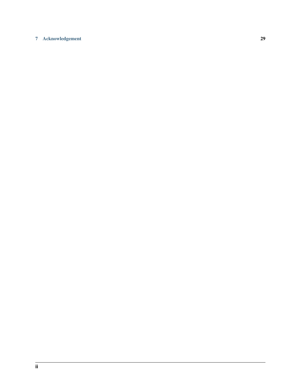#### [7 Acknowledgement](#page-32-0) 29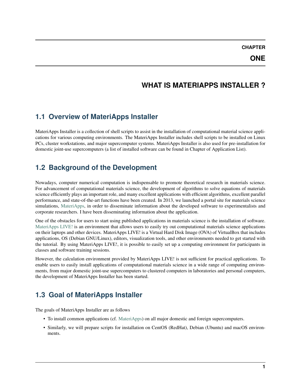# **WHAT IS MATERIAPPS INSTALLER ?**

# <span id="page-4-1"></span><span id="page-4-0"></span>**1.1 Overview of MateriApps Installer**

MateriApps Installer is a collection of shell scripts to assist in the installation of computational material science applications for various computing environments. The MateriApps Installer includes shell scripts to be installed on Linux PCs, cluster workstations, and major supercomputer systems. MateriApps Installer is also used for pre-installation for domestic joint-use supercomputers (a list of installed software can be found in Chapter of Application List).

# <span id="page-4-2"></span>**1.2 Background of the Development**

Nowadays, computer numerical computation is indispensable to promote theoretical research in materials science. For advancement of computational materials science, the development of algorithms to solve equations of materials science efficiently plays an important role, and many excellent applications with efficient algorithms, excellent parallel performance, and state-of-the-art functions have been created. In 2013, we launched a portal site for materials science simulations, [MateriApps,](https://ma.issp.u-tokyo.ac.jp) in order to disseminate information about the developed software to experimentalists and corporate researchers. I have been disseminating information about the application.

One of the obstacles for users to start using published applications in materials science is the installation of software. [MateriApps LIVE!](https://cmsi.github.io/MateriAppsLive/) is an environment that allows users to easily try out computational materials science applications on their laptops and other devices. MateriApps LIVE! is a Virtual Hard Disk Image (OVA) of VirtualBox that includes applications, OS (Debian GNU/Linux), editors, visualization tools, and other environments needed to get started with the tutorial. By using MateriApps LIVE!, it is possible to easily set up a computing environment for participants in classes and software training sessions.

However, the calculation environment provided by MateriApps LIVE! is not sufficient for practical applications. To enable users to easily install applications of computational materials science in a wide range of computing environments, from major domestic joint-use supercomputers to clustered computers in laboratories and personal computers, the development of MateriApps Installer has been started.

# <span id="page-4-3"></span>**1.3 Goal of MateriApps Installer**

The goals of MateriApps Installer are as follows

- To install common applications (cf. [MateriApps\)](https://ma.issp.u-tokyo.ac.jp) on all major domestic and foreign supercomputers.
- Similarly, we will prepare scripts for installation on CentOS (RedHat), Debian (Ubuntu) and macOS environments.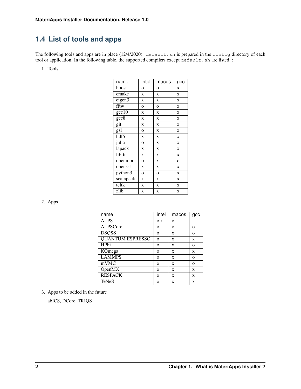# <span id="page-5-0"></span>**1.4 List of tools and apps**

The following tools and apps are in place (12/4/2020). default.sh is prepared in the config directory of each tool or application. In the following table, the supported compilers except default.sh are listed. :

1. Tools

| name          | intel          | macos        | gcc            |
|---------------|----------------|--------------|----------------|
| boost         | $\overline{O}$ | $\mathbf{o}$ | X              |
| cmake         | X              | X            | X              |
| eigen3        | X              | X            | X              |
| fftw          | $\overline{O}$ | $\mathbf{o}$ | X              |
| $\rm gcc10$   | X              | X            | X              |
| $_{\rm gcc8}$ | X              | X            | X              |
| git           | X              | X            | X              |
| gsl           | $\overline{O}$ | X            | X              |
| hdf5          | X              | X            | X              |
| julia         | $\overline{O}$ | X            | X              |
| lapack        | X              | X            | X              |
| libffi        | X              | X            | X              |
| openmpi       | $\overline{O}$ | X            | $\overline{O}$ |
| openssl       | X              | $\mathbf x$  | X              |
| python3       | $\overline{O}$ | $\mathbf{o}$ | X              |
| scalapack     | X              | X            | X              |
| tcltk         | X              | X            | X              |
| zlib          | X              | X            | X              |

2. Apps

| name                    | intel    | macos    | gcc      |
|-------------------------|----------|----------|----------|
| <b>ALPS</b>             | O X      | $\Omega$ |          |
| <b>ALPSCore</b>         | $\Omega$ | $\Omega$ | $\Omega$ |
| <b>DSQSS</b>            | $\Omega$ | X        | $\Omega$ |
| <b>QUANTUM ESPRESSO</b> | $\Omega$ | X        | X        |
| HPhi                    | $\Omega$ | X        | $\Omega$ |
| KOmega                  | $\Omega$ | X        | X        |
| <b>LAMMPS</b>           | $\Omega$ | X        | $\Omega$ |
| mVMC                    | $\Omega$ | X        | $\Omega$ |
| OpenMX                  | $\Omega$ | X        | X        |
| <b>RESPACK</b>          | $\Omega$ | X        | X        |
| <b>TeNeS</b>            | O        | X        | X        |

3. Apps to be added in the future

abICS, DCore, TRIQS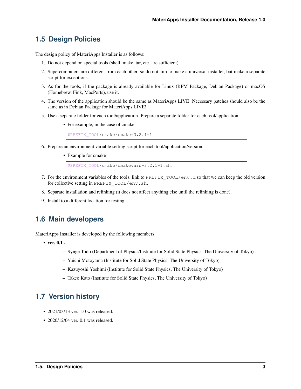# <span id="page-6-0"></span>**1.5 Design Policies**

The design policy of MateriApps Installer is as follows:

- 1. Do not depend on special tools (shell, make, tar, etc. are sufficient).
- 2. Supercomputers are different from each other, so do not aim to make a universal installer, but make a separate script for exceptions.
- 3. As for the tools, if the package is already available for Linux (RPM Package, Debian Package) or macOS (Homebrew, Fink, MacPorts), use it.
- 4. The version of the application should be the same as MateriApps LIVE! Necessary patches should also be the same as in Debian Package for MateriApps LIVE!
- 5. Use a separate folder for each tool/application. Prepare a separate folder for each tool/application.
	- For example, in the case of cmake

\$PREFIX\_TOOL/cmake/cmake-3.2.1-1

- 6. Prepare an environment variable setting script for each tool/application/version.
	- Example for cmake

\$PREFIX\_TOOL/cmake/cmakevars-3.2.1-1.sh.

- 7. For the environment variables of the tools, link to PREFIX\_TOOL/env.d so that we can keep the old version for collective setting in PREFIX\_TOOL/env.sh.
- 8. Separate installation and relinking (it does not affect anything else until the relinking is done).
- 9. Install to a different location for testing.

# <span id="page-6-1"></span>**1.6 Main developers**

MateriApps Installer is developed by the following members.

- ver. 0.1
	- Synge Todo (Department of Physics/Institute for Solid State Physics, The University of Tokyo)
	- Yuichi Motoyama (Institute for Solid State Physics, The University of Tokyo)
	- Kazuyoshi Yoshimi (Institute for Solid State Physics, The University of Tokyo)
	- Takeo Kato (Institute for Solid State Physics, The University of Tokyo)

### <span id="page-6-2"></span>**1.7 Version history**

- 2021/03/13 ver. 1.0 was released.
- 2020/12/04 ver. 0.1 was released.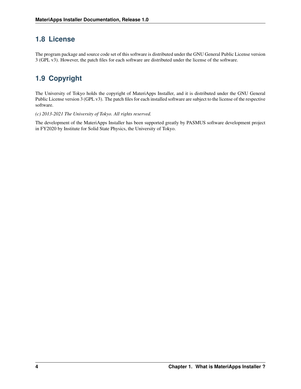# <span id="page-7-0"></span>**1.8 License**

The program package and source code set of this software is distributed under the GNU General Public License version 3 (GPL v3). However, the patch files for each software are distributed under the license of the software.

# <span id="page-7-1"></span>**1.9 Copyright**

The University of Tokyo holds the copyright of MateriApps Installer, and it is distributed under the GNU General Public License version 3 (GPL v3). The patch files for each installed software are subject to the license of the respective software.

*(c) 2013-2021 The University of Tokyo. All rights reserved.*

The development of the MateriApps Installer has been supported greatly by PASMUS software development project in FY2020 by Institute for Solid State Physics, the University of Tokyo.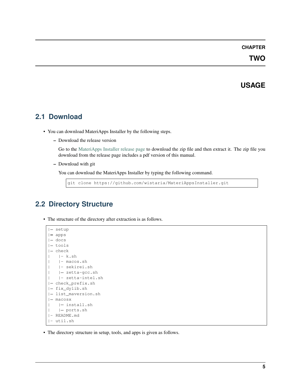**TWO**

### **USAGE**

# <span id="page-8-1"></span><span id="page-8-0"></span>**2.1 Download**

- You can download MateriApps Installer by the following steps.
	- Download the release version

Go to the [MateriApps Installer release page](https://github.com/wistaria/MateriAppsInstaller/tags) to download the zip file and then extract it. The zip file you download from the release page includes a pdf version of this manual.

– Download with git

You can download the MateriApps Installer by typing the following command.

git clone https://github.com/wistaria/MateriAppsInstaller.git

# <span id="page-8-2"></span>**2.2 Directory Structure**

• The structure of the directory after extraction is as follows.

```
|- setup
| apps
|- docs
|- tools
|- check
   |-k \cdot sh| |- macos.sh
   | |- sekirei.sh
| | zetta-gcc.sh
| |- zetta-intel.sh
| check_prefix.sh
| fix_dylib.sh
| list_maversion.sh
|- macosx
| | install.sh
| | ports.sh
|- README.md
|- util.sh
```
• The directory structure in setup, tools, and apps is given as follows.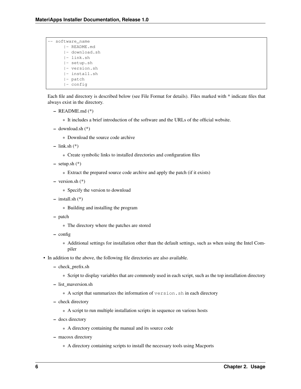|  | software name |
|--|---------------|
|  | - README.md   |
|  | - download.sh |
|  | - link.sh     |
|  | - setup.sh    |
|  | - version.sh  |
|  | - install.sh  |
|  | - patch       |
|  | - config      |

Each file and directory is described below (see File Format for details). Files marked with \* indicate files that always exist in the directory.

- README.md (\*)
	- \* It includes a brief introduction of the software and the URLs of the official website.
- download.sh (\*)
	- \* Download the source code archive
- $-$  link.sh  $(*)$ 
	- \* Create symbolic links to installed directories and configuration files
- $-$  setup.sh  $(*)$ 
	- \* Extract the prepared source code archive and apply the patch (if it exists)
- version.sh (\*)
	- \* Specify the version to download
- install.sh (\*)
	- \* Building and installing the program
- patch
	- \* The directory where the patches are stored
- config
	- \* Additional settings for installation other than the default settings, such as when using the Intel Compiler
- In addition to the above, the following file directories are also available.
	- check\_prefix.sh
		- \* Script to display variables that are commonly used in each script, such as the top installation directory
	- list\_maversion.sh
		- \* A script that summarizes the information of version.sh in each directory
	- check directory
		- \* A script to run multiple installation scripts in sequence on various hosts
	- docs directory
		- \* A directory containing the manual and its source code
	- macosx directory
		- \* A directory containing scripts to install the necessary tools using Macports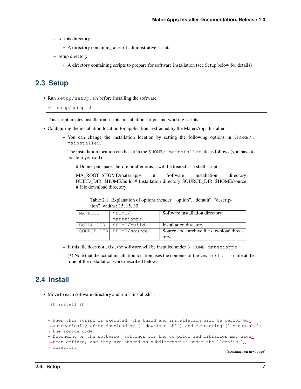- scripts directory
	- \* A directory containing a set of administrative scripts
- setup directory
	- \* A directory containing scripts to prepare for software installation (see Setup below for details)

### <span id="page-10-0"></span>**2.3 Setup**

• Run setup/setup.sh before installing the software

```
sh setup/setup.sh
```
This script creates installation scripts, installation scripts and working scripts

- Configuring the installation location for applications extracted by the MateriApps Installer
	- You can change the installation location by setting the following options in  $$HOME/$ . mainstaller.

The installation location can be set in the \$HOME/.mainstaller file as follows (you have to create it yourself)

# Do not put spaces before or after = as it will be treated as a shell script

MA\_ROOT=\$HOME/materiapps # Software installation directory BUILD\_DIR=\$HOME/build # Installation directory SOURCE\_DIR=\$HOME/source # File download directory

Table 2.1: Explanation of options :header: "option", "default", "description" :widths: 15, 15, 30

| MA ROOT    | \$HOME/       | Software installation directory          |
|------------|---------------|------------------------------------------|
|            | materiapps    |                                          |
| BUILD DIR  | \$HOME/build  | Installation directory                   |
| SOURCE_DIR | \$HOME/source | Source code archive file download direc- |
|            |               | tory                                     |

- $-$  If this file does not exist, the software will be installed under  $\frac{1}{2}$  HOME materiapps
- (\*) Note that the actual installation location uses the contents of the .mainstaller file at the time of the installation work described below.

# <span id="page-10-1"></span>**2.4 Install**

• Move to each software directory and run "install.sh".

```
sh install.sh
- When this script is executed, the build and installation will be performed.
˓→automatically after downloading (``download.sh``) and extracting (``setup.sh``)
˓→the source code.
- Depending on the software, settings for the compiler and libraries may have
→been defined, and they are stored as subdirectories under the ``config``
˓→directory.
```
(continues on next page)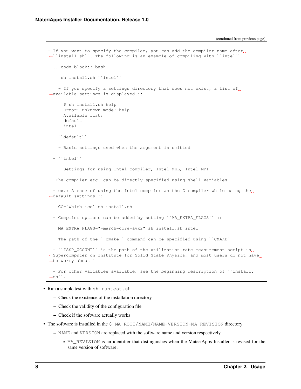(continued from previous page)

```
- If you want to specify the compiler, you can add the compiler name after<sub>1</sub>
˓→``install.sh``. The following is an example of compiling with ``intel``.
  .. code-block:: bash
    sh install.sh ``intel``
   - If you specify a settings directory that does not exist, a list of
˓→available settings is displayed.::
     $ sh install.sh help
     Error: unknown mode: help
     Available list:
     default
     intel
 - ``default``
    - Basic settings used when the argument is omitted
 - ``intel``
   - Settings for using Intel compiler, Intel MKL, Intel MPI
- The compiler etc. can be directly specified using shell variables
 - ex.) A case of using the Intel compiler as the C compiler while using the
˓→default settings ::
   CC=`which icc` sh install.sh
 - Compiler options can be added by setting ``MA_EXTRA_FLAGS`` ::
   MA_EXTRA_FLAGS="-march=core-avx2" sh install.sh intel
 - The path of the ``cmake`` command can be specified using ``CMAKE``
 - ``ISSP_UCOUNT`` is the path of the utilization rate measurement script in
→Supercomputer on Institute for Solid State Physics, and most users do not have
˓→to worry about it
 - For other variables available, see the beginning description of ``install.
\rightarrowsh``.
```
- Run a simple test with sh runtest.sh
	- Check the existence of the installation directory
	- Check the validity of the configuration file
	- Check if the software actually works
- The software is installed in the \$ MA\_ROOT/NAME/NAME-VERSION-MA\_REVISION directory
	- NAME and VERSION are replaced with the software name and version respectively
		- \* MA\_REVISION is an identifier that distinguishes when the MateriApps Installer is revised for the same version of software.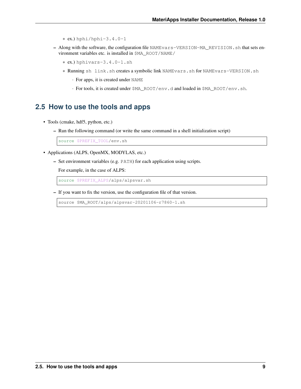$*$  ex.) hphi/hphi-3.4.0-1

- Along with the software, the configuration file NAMEvars-VERSION-MA\_REVISION.sh that sets environment variables etc. is installed in \$MA\_ROOT/NAME/
	- \* ex.) hphivars-3.4.0-1.sh
	- \* Running sh link.sh creates a symbolic link NAMEvars.sh for NAMEvars-VERSION.sh
		- · For apps, it is created under NAME
		- · For tools, it is created under \$MA\_ROOT/env.d and loaded in \$MA\_ROOT/env.sh.

### <span id="page-12-0"></span>**2.5 How to use the tools and apps**

- Tools (cmake, hdf5, python, etc.)
	- Run the following command (or write the same command in a shell initialization script)

source \$PREFIX\_TOOL/env.sh

- Applications (ALPS, OpenMX, MODYLAS, etc.)
	- Set environment variables (e.g. PATH) for each application using scripts.

For example, in the case of ALPS:

source \$PREFIX\_ALPS/alps/alpsvar.sh

– If you want to fix the version, use the configuration file of that version.

source \$MA\_ROOT/alps/alpsvar-20201106-r7860-1.sh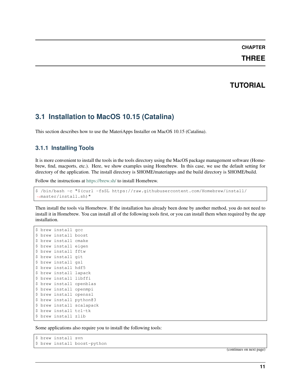### **THREE**

# **TUTORIAL**

# <span id="page-14-1"></span><span id="page-14-0"></span>**3.1 Installation to MacOS 10.15 (Catalina)**

This section describes how to use the MateriApps Installer on MacOS 10.15 (Catalina).

# **3.1.1 Installing Tools**

It is more convenient to install the tools in the tools directory using the MacOS package management software (Homebrew, find, macports, etc.). Here, we show examples using Homebrew. In this case, we use the default setting for directory of the application. The install directory is \$HOME/materiapps and the build directory is \$HOME/build.

Follow the instructions at <https://brew.sh/> to install Homebrew.

```
$ /bin/bash -c "$(curl -fsSL https://raw.githubusercontent.com/Homebrew/install/
˓→master/install.sh)"
```
Then install the tools via Homebrew. If the installation has already been done by another method, you do not need to install it in Homebrew. You can install all of the following tools first, or you can install them when required by the app installation.

```
$ brew install gcc
$ brew install boost
$ brew install cmake
$ brew install eigen
$ brew install fftw
$ brew install git
$ brew install gsl
$ brew install hdf5
$ brew install lapack
$ brew install libffi
$ brew install openblas
$ brew install openmpi
$ brew install openssl
$ brew install python@3
$ brew install scalapack
$ brew install tcl-tk
$ brew install zlib
```
Some applications also require you to install the following tools:

```
$ brew install svn
$ brew install boost-python
```
(continues on next page)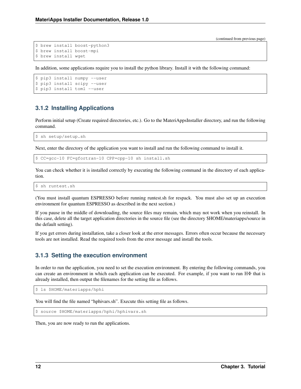```
$ brew install boost-python3
$ brew install boost-mpi
$ brew install wget
```
In addition, some applications require you to install the python library. Install it with the following command:

```
$ pip3 install numpy --user
$ pip3 install scipy --user
$ pip3 install toml --user
```
### **3.1.2 Installing Applications**

Perform initial setup (Create required directories, etc.). Go to the MateriAppsInstaller directory, and run the following command.

\$ sh setup/setup.sh

Next, enter the directory of the application you want to install and run the following command to install it.

\$ CC=gcc-10 FC=gfortran-10 CPP=cpp-10 sh install.sh

You can check whether it is installed correctly by executing the following command in the directory of each application.

\$ sh runtest.sh

(You must install quantum ESPRESSO before running runtest.sh for respack. You must also set up an execution environment for quantum ESPRESSO as described in the next section.)

If you pause in the middle of downloading, the source files may remain, which may not work when you reinstall. In this case, delete all the target application directories in the source file (see the directory \$HOME/materiapps/source in the default setting).

If you get errors during installation, take a closer look at the error messages. Errors often occur because the necessary tools are not installed. Read the required tools from the error message and install the tools.

#### **3.1.3 Setting the execution environment**

In order to run the application, you need to set the execution environment. By entering the following commands, you can create an environment in which each application can be executed. For example, if you want to run HΦ that is already installed, then output the filenames for the setting file as follows.

\$ ls \$HOME/materiapps/hphi

You will find the file named "hphivars.sh". Execute this setting file as follows.

```
$ source $HOME/materiapps/hphi/hphivars.sh
```
Then, you are now ready to run the applications.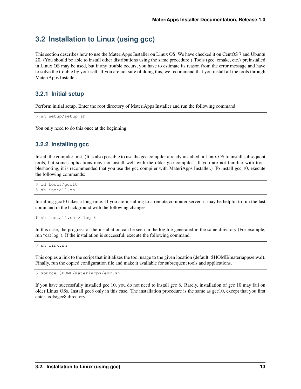# <span id="page-16-0"></span>**3.2 Installation to Linux (using gcc)**

This section describes how to use the MateriApps Installer on Linux OS. We have checked it on CentOS 7 and Ubuntu 20. (You should be able to install other distributions using the same procedure.) Tools (gcc, cmake, etc.) preinstalled in Linux OS may be used, but if any trouble occurs, you have to estimate its reason from the error message and have to solve the trouble by your self. If you are not sure of doing this, we recommend that you install all the tools through MateriApps Installer.

#### **3.2.1 Initial setup**

Perform initial setup. Enter the root directory of MateriApps Installer and run the following command:

\$ sh setup/setup.sh

You only need to do this once at the beginning.

### **3.2.2 Installing gcc**

Install the compiler first. (It is also possible to use the gcc compiler already installed in Linux OS to install subsequent tools, but some applications may not install well with the older gcc compiler. If you are not familiar with troubleshooting, it is recommended that you use the gcc compiler with MateriApps Installer.) To install gcc 10, execute the following commands:

\$ cd tools/gcc10 \$ sh install.sh

Installing gcc10 takes a long time. If you are installing to a remote computer server, it may be helpful to run the last command in the background with the following changes:

```
$ sh install.sh > log &
```
In this case, the progress of the installation can be seen in the log file generated in the same directory (For example, run "cat log"). If the installation is successful, execute the following command:

\$ sh link.sh

This copies a link to the script that initializes the tool usage to the given location (default: \$HOME/materiapps/env.d). Finally, run the copied configuration file and make it available for subsequent tools and applications.

\$ source \$HOME/materiapps/env.sh

If you have successfully installed gcc 10, you do not need to install gcc 8. Rarely, installation of gcc 10 may fail on older Linux OSs. Install gcc8 only in this case. The installation procedure is the same as gcc10, except that you first enter tools/gcc8 directory.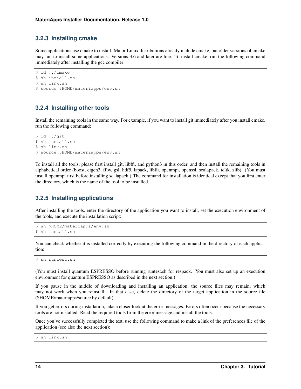### **3.2.3 Installing cmake**

Some applications use cmake to install. Major Linux distributions already include cmake, but older versions of cmake may fail to install some applications. Versions 3.6 and later are fine. To install cmake, run the following command immediately after installing the gcc compiler:

```
$ cd ../cmake
$ sh install.sh
$ sh link.sh
$ source $HOME/materiapps/env.sh
```
### **3.2.4 Installing other tools**

Install the remaining tools in the same way. For example, if you want to install git immediately after you install cmake, run the following command:

```
$ cd ../git
$ sh install.sh
$ sh link.sh
$ source $HOME/materiapps/env.sh
```
To install all the tools, please first install git, libffi, and python3 in this order, and then install the remaining tools in alphabetical order (boost, eigen3, fftw, gsl, hdf5, lapack, libffi, openmpi, openssl, scalapack, tcltk, zlib). (You must install openmpi first before installing scalapack.) The command for installation is identical except that you first enter the directory, which is the name of the tool to be installed.

### **3.2.5 Installing applications**

After installing the tools, enter the directory of the application you want to install, set the execution environment of the tools, and execute the installation script:

```
$ sh $HOME/materiapps/env.sh
$ sh install.sh
```
You can check whether it is installed correctly by executing the following command in the directory of each application:

\$ sh runtest.sh

(You must install quantum ESPRESSO before running runtest.sh for respack. You must also set up an execution environment for quantum ESPRESSO as described in the next section.)

If you pause in the middle of downloading and installing an application, the source files may remain, which may not work when you reinstall. In that case, delete the directory of the target application in the source file (\$HOME/materiapps/source by default).

If you get errors during installation, take a closer look at the error messages. Errors often occur because the necessary tools are not installed. Read the required tools from the error message and install the tools.

Once you've successfully completed the test, use the following command to make a link of the preferences file of the application (see also the next section):

\$ sh link.sh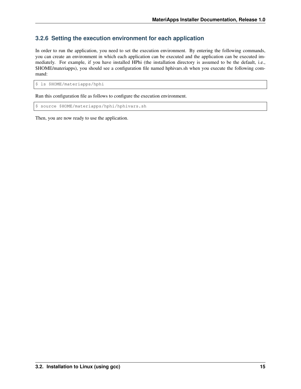### **3.2.6 Setting the execution environment for each application**

In order to run the application, you need to set the execution environment. By entering the following commands, you can create an environment in which each application can be executed and the application can be executed immediately. For example, if you have installed HPhi (the installation directory is assumed to be the default, i.e., \$HOME/materiapps), you should see a configuration file named hphivars.sh when you execute the following command:

\$ ls \$HOME/materiapps/hphi

Run this configuration file as follows to configure the execution environment.

\$ source \$HOME/materiapps/hphi/hphivars.sh

Then, you are now ready to use the application.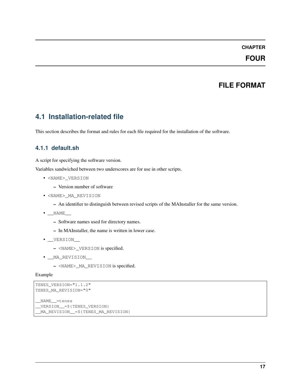### **FOUR**

# **FILE FORMAT**

# <span id="page-20-1"></span><span id="page-20-0"></span>**4.1 Installation-related file**

This section describes the format and rules for each file required for the installation of the software.

#### **4.1.1 default.sh**

A script for specifying the software version.

Variables sandwiched between two underscores are for use in other scripts.

- <NAME>\_VERSION
	- Version number of software
- <NAME>\_MA\_REVISION
	- An identifier to distinguish between revised scripts of the MAInstaller for the same version.
- \_\_NAME\_\_
	- Software names used for directory names.
	- In MAInstaller, the name is written in lower case.
- \_\_VERSION\_\_
	- <NAME>\_VERSION is specified.
- \_\_MA\_REVISION\_\_\_
	- <NAME>\_MA\_REVISION is specified.

Example

```
TENES_VERSION="1.1.2"
TENES_MA_REVISION="0"
 __NAME__=tenes
 __VERSION__=${TENES_VERSION}
 __MA_REVISION__=${TENES_MA_REVISION}
```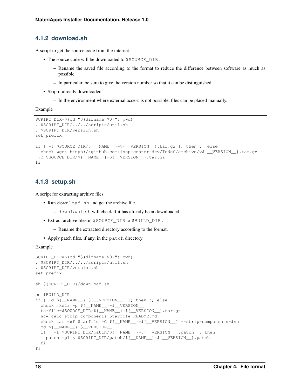#### **4.1.2 download.sh**

A script to get the source code from the internet.

- The source code will be downloaded to \$SOURCE\_DIR .
	- Rename the saved file according to the format to reduce the difference between software as much as possible.
	- In particular, be sure to give the version number so that it can be distinguished.
- Skip if already downloaded
	- In the environment where external access is not possible, files can be placed manually.

Example

```
SCRIPT_DIR=$(cd "$(dirname $0)"; pwd)
. $SCRIPT_DIR/../../scripts/util.sh
. $SCRIPT_DIR/version.sh
set_prefix
if [ -f $SOURCE_DIR/${__NAME__}-${__VERSION__}.tar.gz ]; then :; else
 check wget https://github.com/issp-center-dev/TeNeS/archive/v${__VERSION__}.tar.gz -
˓→O $SOURCE_DIR/${__NAME__}-${__VERSION__}.tar.gz
fi
```
#### **4.1.3 setup.sh**

A script for extracting archive files.

- Run download.sh and get the archive file.
	- download.sh will check if it has already been downloaded.
- Extract archive files in \$SOURCE\_DIR to \$BUILD\_DIR .
	- Rename the extracted directory according to the format.
- Apply patch files, if any, in the patch directory.

Example

```
SCRIPT_DIR=$(cd "$(dirname $0)"; pwd)
. $SCRIPT_DIR/../../scripts/util.sh
. $SCRIPT_DIR/version.sh
set_prefix
sh ${SCRIPT_DIR}/download.sh
cd $BUILD_DIR
if [ -d ${__NAME__}-${__VERSION__} ]; then :; else
 check mkdir -p ${__NAME__}-$__VERSION__
 tarfile=$SOURCE_DIR/${__NAME__}-${__VERSION__}.tar.gz
 sc=`calc_strip_components $tarfile README.md`
 check tar zxf $tarfile -C ${__NAME__}-${__VERSION__} --strip-components=$sc
 cd ${__NAME__}-$__VERSION__
 if [ -f $SCRIPT_DIR/patch/${__NAME__}-${__VERSION__}.patch ]; then
   patch -p1 < $SCRIPT_DIR/patch/${__NAME__}-${__VERSION__}.patch
 fi
fi
```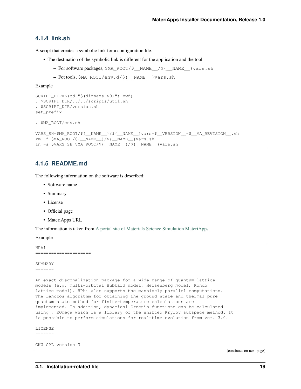#### **4.1.4 link.sh**

A script that creates a symbolic link for a configuration file.

- The destination of the symbolic link is different for the application and the tool.
	- For software packages, \$MA\_ROOT/\$\_\_NAME\_\_/\${\_\_NAME\_\_}vars.sh
	- Fot tools, \$MA\_ROOT/env.d/\${\_\_NAME\_\_}vars.sh

Example

```
SCRIPT_DIR=$(cd "$(dirname $0)"; pwd)
. $SCRIPT_DIR/../../scripts/util.sh
. $SCRIPT_DIR/version.sh
set_prefix
. $MA_ROOT/env.sh
VARS SH=$MA_ROOT/${__NAME__}/${__NAME__}vars-$__VERSION__-$__MA_REVISION__.sh
rm -f $MA_ROOT/${__NAME__}/${__NAME__}vars.sh
ln -s $VARS_SH $MA_ROOT/${__NAME__}/${__NAME__}vars.sh
```
#### **4.1.5 README.md**

The following information on the software is described:

- Software name
- Summary
- License
- Official page
- MateriApps URL

The information is taken from [A portal site of Materials Science Simulation MateriApps.](https://ma.issp.u-tokyo.ac.jp)

Example

```
HPhi
=====================
SUMMARY
-------
An exact diagonalization package for a wide range of quantum lattice
models (e.g. multi-orbital Hubbard model, Heisenberg model, Kondo
lattice model). HPhi also supports the massively parallel computations.
The Lanczos algorithm for obtaining the ground state and thermal pure
quantum state method for finite-temperature calculations are
implemented. In addition, dynamical Green's functions can be calculated
using , KOmega which is a library of the shifted Krylov subspace method. It
is possible to perform simulations for real-time evolution from ver. 3.0.
LICENSE
-------
GNU GPL version 3
```
(continues on next page)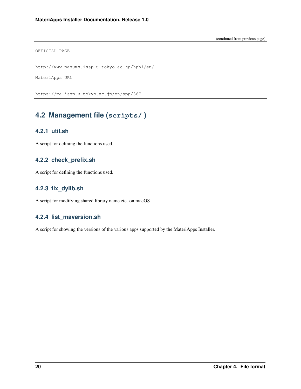(continued from previous page)

```
OFFICIAL PAGE
-------------
http://www.pasums.issp.u-tokyo.ac.jp/hphi/en/
MateriApps URL
         - - - - -
```
https://ma.issp.u-tokyo.ac.jp/en/app/367

# <span id="page-23-0"></span>**4.2 Management file (scripts/ )**

### **4.2.1 util.sh**

A script for defining the functions used.

### **4.2.2 check\_prefix.sh**

A script for defining the functions used.

### **4.2.3 fix\_dylib.sh**

A script for modifying shared library name etc. on macOS

### **4.2.4 list\_maversion.sh**

A script for showing the versions of the various apps supported by the MateriApps Installer.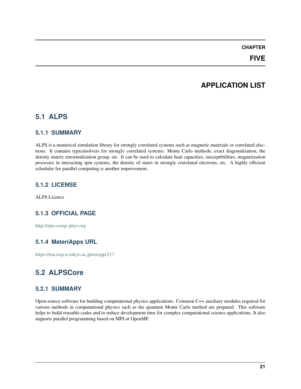### **FIVE**

# **APPLICATION LIST**

# <span id="page-24-1"></span><span id="page-24-0"></span>**5.1 ALPS**

#### **5.1.1 SUMMARY**

ALPS is a numerical simulation library for strongly correlated systems such as magnetic materials or correlated electrons. It contains typicalsolvers for strongly correlated systems: Monte Carlo methods, exact diagonalization, the density matrix renormalization group, etc. It can be used to calculate heat capacities, susceptibilities, magnetization processes in interacting spin systems, the density of states in strongly correlated electrons, etc. A highly efficient scheduler for parallel computing is another improvement.

#### **5.1.2 LICENSE**

ALPS Licence

### **5.1.3 OFFICIAL PAGE**

<http://alps.comp-phys.org>

### **5.1.4 MateriApps URL**

<https://ma.issp.u-tokyo.ac.jp/en/app/217>

# <span id="page-24-2"></span>**5.2 ALPSCore**

#### **5.2.1 SUMMARY**

Open-source software for building computational physics applications. Common C++ auxiliary modules required for various methods in computational physics such as the quantum Monte Carlo method are prepared. This software helps to build reusable codes and to reduce development time for complex computational science applications. It also supports parallel programming based on MPI or OpenMP.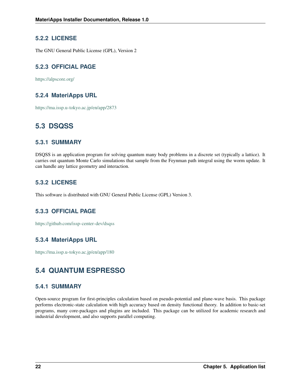### **5.2.2 LICENSE**

The GNU General Public License (GPL), Version 2

# **5.2.3 OFFICIAL PAGE**

<https://alpscore.org/>

### **5.2.4 MateriApps URL**

<https://ma.issp.u-tokyo.ac.jp/en/app/2873>

# <span id="page-25-0"></span>**5.3 DSQSS**

### **5.3.1 SUMMARY**

DSQSS is an application program for solving quantum many body problems in a discrete set (typically a lattice). It carries out quantum Monte Carlo simulations that sample from the Feynman path integral using the worm update. It can handle any lattice geometry and interaction.

### **5.3.2 LICENSE**

This software is distributed with GNU General Public License (GPL) Version 3.

### **5.3.3 OFFICIAL PAGE**

<https://github.com/issp-center-dev/dsqss>

### **5.3.4 MateriApps URL**

<https://ma.issp.u-tokyo.ac.jp/en/app/180>

# <span id="page-25-1"></span>**5.4 QUANTUM ESPRESSO**

### **5.4.1 SUMMARY**

Open-source program for first-principles calculation based on pseudo-potential and plane-wave basis. This package performs electronic-state calculation with high accuracy based on density functional theory. In addition to basic-set programs, many core-packages and plugins are included. This package can be utilized for academic research and industrial development, and also supports parallel computing.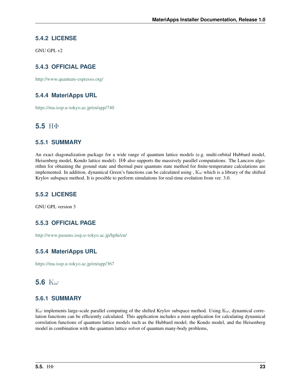### **5.4.2 LICENSE**

GNU GPL v2

# **5.4.3 OFFICIAL PAGE**

<http://www.quantum-espresso.org/>

### **5.4.4 MateriApps URL**

<https://ma.issp.u-tokyo.ac.jp/en/app/740>

# <span id="page-26-0"></span>**5.5** HΦ

#### **5.5.1 SUMMARY**

An exact diagonalization package for a wide range of quantum lattice models (e.g. multi-orbital Hubbard model, Heisenberg model, Kondo lattice model). HΦ also supports the massively parallel computations. The Lanczos algorithm for obtaining the ground state and thermal pure quantum state method for finite-temperature calculations are implemented. In addition, dynamical Green's functions can be calculated using,  $K\omega$  which is a library of the shifted Krylov subspace method. It is possible to perform simulations for real-time evolution from ver. 3.0.

### **5.5.2 LICENSE**

GNU GPL version 3

### **5.5.3 OFFICIAL PAGE**

<http://www.pasums.issp.u-tokyo.ac.jp/hphi/en/>

### **5.5.4 MateriApps URL**

<https://ma.issp.u-tokyo.ac.jp/en/app/367>

# <span id="page-26-1"></span>**5.6** K

### **5.6.1 SUMMARY**

 $K\omega$  implements large-scale parallel computing of the shifted Krylov subspace method. Using  $K\omega$ , dynamical correlation functions can be efficiently calculated. This application includes a mini-application for calculating dynamical correlation functions of quantum lattice models such as the Hubbard model, the Kondo model, and the Heisenberg model in combination with the quantum lattice solver of quantum many-body problems,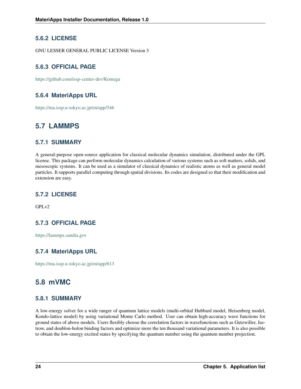### **5.6.2 LICENSE**

GNU LESSER GENERAL PUBLIC LICENSE Version 3

# **5.6.3 OFFICIAL PAGE**

<https://github.com/issp-center-dev/Komega>

### **5.6.4 MateriApps URL**

<https://ma.issp.u-tokyo.ac.jp/en/app/546>

# <span id="page-27-0"></span>**5.7 LAMMPS**

### **5.7.1 SUMMARY**

A general-purpose open-source application for classical molecular dynamics simulation, distributed under the GPL license. This package can perform molecular dynamics calculation of various systems such as soft matters, solids, and mesoscopic systems. It can be used as a simulator of classical dynamics of realistic atoms as well as general model particles. It supports parallel computing through spatial divisions. Its codes are designed so that their modification and extension are easy.

### **5.7.2 LICENSE**

 $GPI_v2$ 

# **5.7.3 OFFICIAL PAGE**

<https://lammps.sandia.gov>

# **5.7.4 MateriApps URL**

<https://ma.issp.u-tokyo.ac.jp/en/app/613>

# <span id="page-27-1"></span>**5.8 mVMC**

### **5.8.1 SUMMARY**

A low-energy solver for a wide ranger of quantum lattice models (multi-orbital Hubbard model, Heisenberg model, Kondo-lattice model) by using variational Monte Carlo method. User can obtain high-accuracy wave functions for ground states of above models. Users flexibly choose the correlation factors in wavefunctions such as Gutzwiller, Jastrow, and doublon-holon binding factors and optimize more the ten thousand variational parameters. It is also possible to obtain the low-energy excited states by specifying the quantum number using the quantum number projection.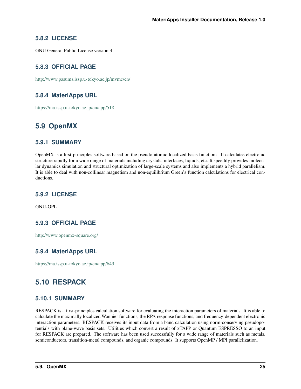### **5.8.2 LICENSE**

GNU General Public License version 3

### **5.8.3 OFFICIAL PAGE**

<http://www.pasums.issp.u-tokyo.ac.jp/mvmc/en/>

### **5.8.4 MateriApps URL**

<https://ma.issp.u-tokyo.ac.jp/en/app/518>

# <span id="page-28-0"></span>**5.9 OpenMX**

#### **5.9.1 SUMMARY**

OpenMX is a first-principles software based on the pseudo-atomic localized basis functions. It calculates electronic structure rapidly for a wide range of materials including crystals, interfaces, liquids, etc. It speedily provides molecular dynamics simulation and structural optimization of large-scale systems and also implements a hybrid parallelism. It is able to deal with non-collinear magnetism and non-equilibrium Green's function calculations for electrical conductions.

### **5.9.2 LICENSE**

GNU-GPL

### **5.9.3 OFFICIAL PAGE**

<http://www.openmx-square.org/>

### **5.9.4 MateriApps URL**

<https://ma.issp.u-tokyo.ac.jp/en/app/649>

# <span id="page-28-1"></span>**5.10 RESPACK**

### **5.10.1 SUMMARY**

RESPACK is a first-principles calculation software for evaluating the interaction parameters of materials. It is able to calculate the maximally localized Wannier functions, the RPA response functions, and frequency-dependent electronic interaction parameters. RESPACK receives its input data from a band calculation using norm-conserving pseudopotentials with plane-wave basis sets. Utilities which convert a result of xTAPP or Quantum ESPRESSO to an input for RESPACK are prepared. The software has been used successfully for a wide range of materials such as metals, semiconductors, transition-metal compounds, and organic compounds. It supports OpenMP / MPI parallelization.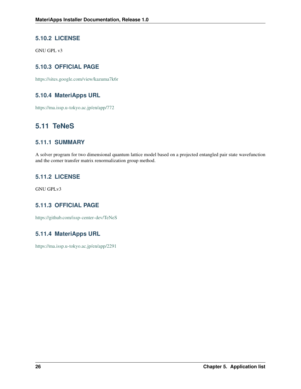### **5.10.2 LICENSE**

GNU GPL v3

# **5.10.3 OFFICIAL PAGE**

<https://sites.google.com/view/kazuma7k6r>

### **5.10.4 MateriApps URL**

<https://ma.issp.u-tokyo.ac.jp/en/app/772>

# <span id="page-29-0"></span>**5.11 TeNeS**

### **5.11.1 SUMMARY**

A solver program for two dimensional quantum lattice model based on a projected entangled pair state wavefunction and the corner transfer matrix renormalization group method.

### **5.11.2 LICENSE**

GNU GPLv3

# **5.11.3 OFFICIAL PAGE**

<https://github.com/issp-center-dev/TeNeS>

### **5.11.4 MateriApps URL**

<https://ma.issp.u-tokyo.ac.jp/en/app/2291>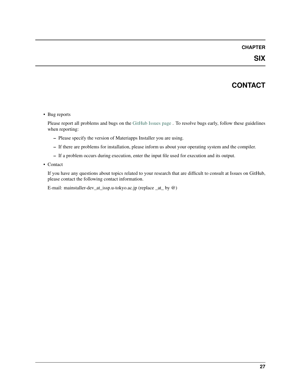# **CONTACT**

#### <span id="page-30-0"></span>• Bug reports

Please report all problems and bugs on the [GitHub Issues page](https://github.com/wistaria/MateriAppsInstaller) . To resolve bugs early, follow these guidelines when reporting:

- Please specify the version of Materiapps Installer you are using.
- If there are problems for installation, please inform us about your operating system and the compiler.
- If a problem occurs during execution, enter the input file used for execution and its output.
- Contact

If you have any questions about topics related to your research that are difficult to consult at Issues on GitHub, please contact the following contact information.

E-mail: mainstaller-dev\_at\_issp.u-tokyo.ac.jp (replace \_at\_ by @)